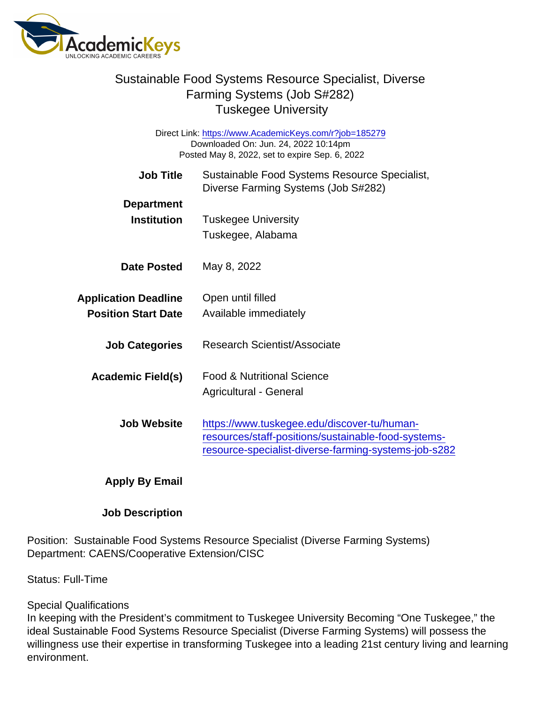## Sustainable Food Systems Resource Specialist, Diverse Farming Systems (Job S#282) Tuskegee University

Direct Link: <https://www.AcademicKeys.com/r?job=185279> Downloaded On: Jun. 24, 2022 10:14pm Posted May 8, 2022, set to expire Sep. 6, 2022

| Job Title                   | Sustainable Food Systems Resource Specialist,<br>Diverse Farming Systems (Job S#282) |
|-----------------------------|--------------------------------------------------------------------------------------|
| Department                  |                                                                                      |
| Institution                 | <b>Tuskegee University</b>                                                           |
|                             | Tuskegee, Alabama                                                                    |
| Date Posted                 | May 8, 2022                                                                          |
| <b>Application Deadline</b> | Open until filled                                                                    |
| <b>Position Start Date</b>  | Available immediately                                                                |
| <b>Job Categories</b>       | Research Scientist/Associate                                                         |
| Academic Field(s)           | <b>Food &amp; Nutritional Science</b>                                                |
|                             | Agricultural - General                                                               |
| Job Website                 | https://www.tuskegee.edu/discover-tu/human-                                          |
|                             | resources/staff-positions/sustainable-food-systems-                                  |
|                             | resource-specialist-diverse-farming-systems-job-s282                                 |
| Apply By Email              |                                                                                      |

Job Description

Position: Sustainable Food Systems Resource Specialist (Diverse Farming Systems) Department: CAENS/Cooperative Extension/CISC

Status: Full-Time

## Special Qualifications

In keeping with the President's commitment to Tuskegee University Becoming "One Tuskegee," the ideal Sustainable Food Systems Resource Specialist (Diverse Farming Systems) will possess the willingness use their expertise in transforming Tuskegee into a leading 21st century living and learning environment.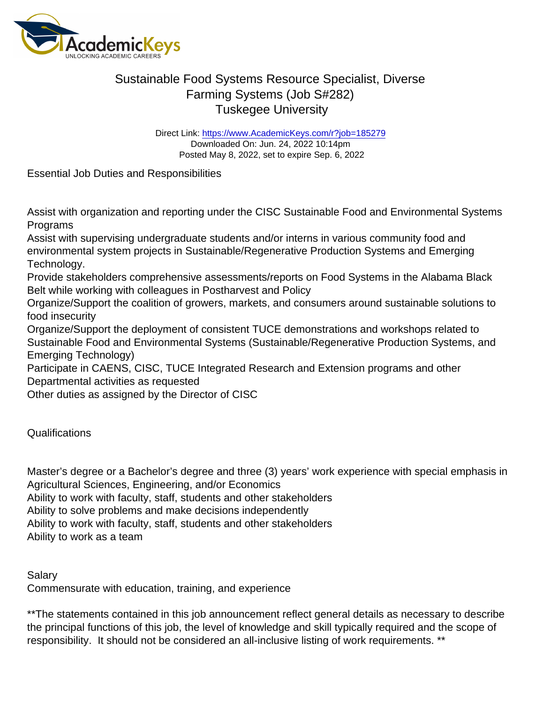## Sustainable Food Systems Resource Specialist, Diverse Farming Systems (Job S#282) Tuskegee University

Direct Link: <https://www.AcademicKeys.com/r?job=185279> Downloaded On: Jun. 24, 2022 10:14pm Posted May 8, 2022, set to expire Sep. 6, 2022

Essential Job Duties and Responsibilities

Assist with organization and reporting under the CISC Sustainable Food and Environmental Systems Programs

Assist with supervising undergraduate students and/or interns in various community food and environmental system projects in Sustainable/Regenerative Production Systems and Emerging Technology.

Provide stakeholders comprehensive assessments/reports on Food Systems in the Alabama Black Belt while working with colleagues in Postharvest and Policy

Organize/Support the coalition of growers, markets, and consumers around sustainable solutions to food insecurity

Organize/Support the deployment of consistent TUCE demonstrations and workshops related to Sustainable Food and Environmental Systems (Sustainable/Regenerative Production Systems, and Emerging Technology)

Participate in CAENS, CISC, TUCE Integrated Research and Extension programs and other Departmental activities as requested

Other duties as assigned by the Director of CISC

Qualifications

Master's degree or a Bachelor's degree and three (3) years' work experience with special emphasis in Agricultural Sciences, Engineering, and/or Economics Ability to work with faculty, staff, students and other stakeholders Ability to solve problems and make decisions independently Ability to work with faculty, staff, students and other stakeholders

Ability to work as a team

Salary Commensurate with education, training, and experience

\*\*The statements contained in this job announcement reflect general details as necessary to describe the principal functions of this job, the level of knowledge and skill typically required and the scope of responsibility. It should not be considered an all-inclusive listing of work requirements. \*\*